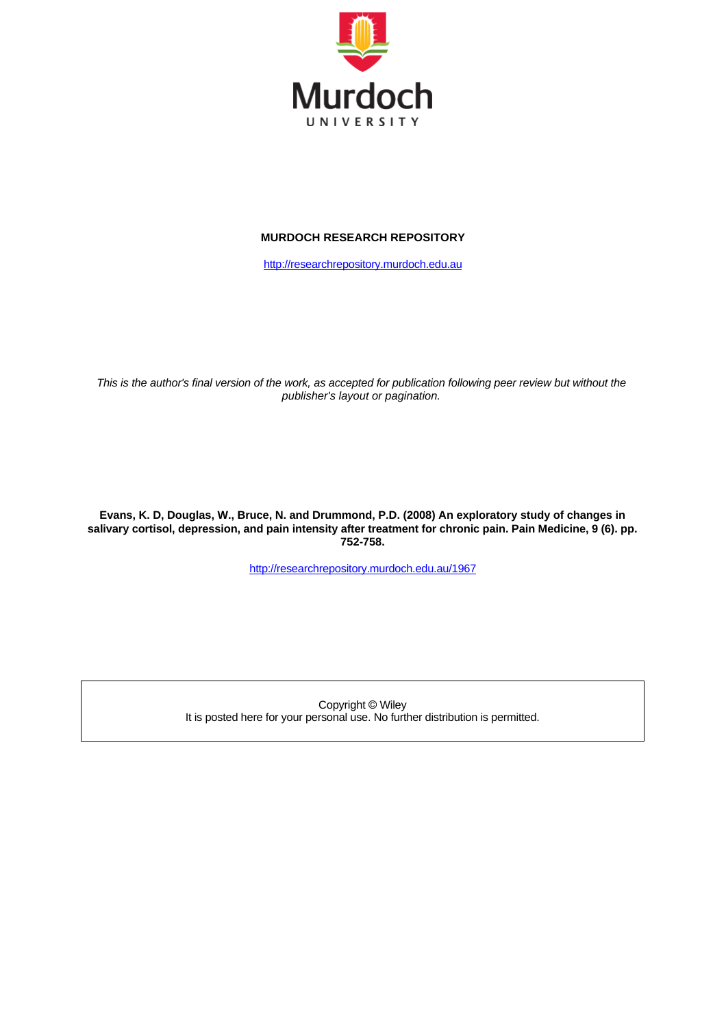

## **MURDOCH RESEARCH REPOSITORY**

[http://researchrepository.murdoch.edu.au](http://researchrepository.murdoch.edu.au/)

*This is the author's final version of the work, as accepted for publication following peer review but without the publisher's layout or pagination.*

**Evans, K. D, Douglas, W., Bruce, N. and Drummond, P.D. (2008) An exploratory study of changes in salivary cortisol, depression, and pain intensity after treatment for chronic pain. Pain Medicine, 9 (6). pp. 752-758.**

<http://researchrepository.murdoch.edu.au/1967>

Copyright © Wiley It is posted here for your personal use. No further distribution is permitted.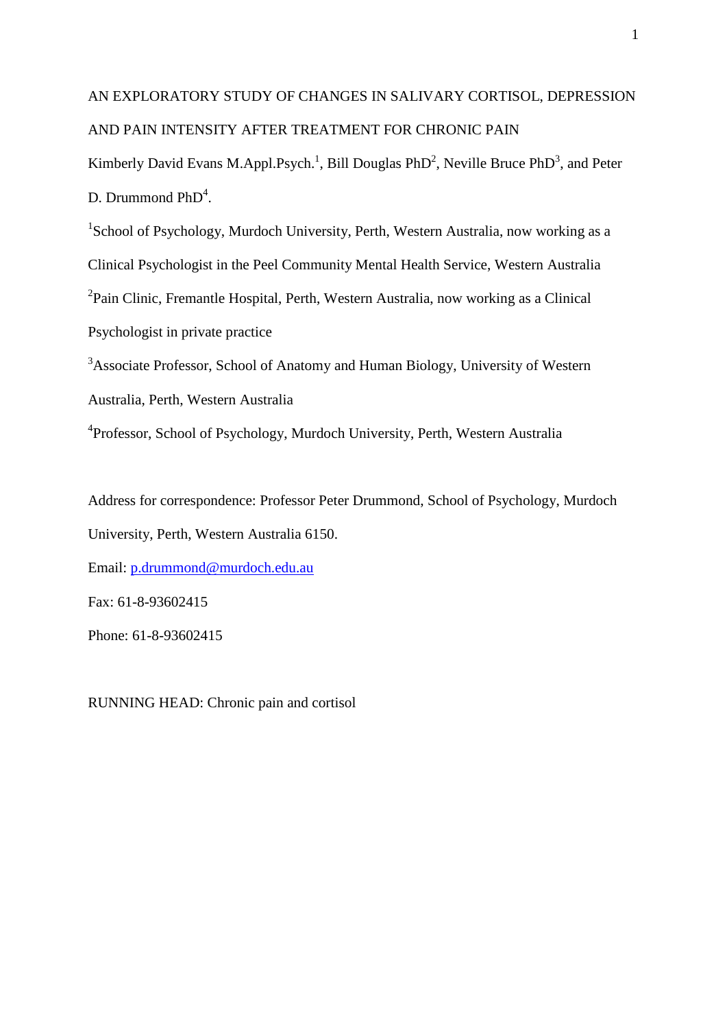# AN EXPLORATORY STUDY OF CHANGES IN SALIVARY CORTISOL, DEPRESSION AND PAIN INTENSITY AFTER TREATMENT FOR CHRONIC PAIN

Kimberly David Evans M.Appl.Psych.<sup>1</sup>, Bill Douglas PhD<sup>2</sup>, Neville Bruce PhD<sup>3</sup>, and Peter D. Drummond PhD<sup>4</sup>.

<sup>1</sup>School of Psychology, Murdoch University, Perth, Western Australia, now working as a Clinical Psychologist in the Peel Community Mental Health Service, Western Australia <sup>2</sup>Pain Clinic, Fremantle Hospital, Perth, Western Australia, now working as a Clinical Psychologist in private practice

<sup>3</sup>Associate Professor, School of Anatomy and Human Biology, University of Western Australia, Perth, Western Australia

<sup>4</sup>Professor, School of Psychology, Murdoch University, Perth, Western Australia

Address for correspondence: Professor Peter Drummond, School of Psychology, Murdoch University, Perth, Western Australia 6150.

Email: [p.drummond@murdoch.edu.au](mailto:p.drummond@murdoch.edu.au)

Fax: 61-8-93602415

Phone: 61-8-93602415

RUNNING HEAD: Chronic pain and cortisol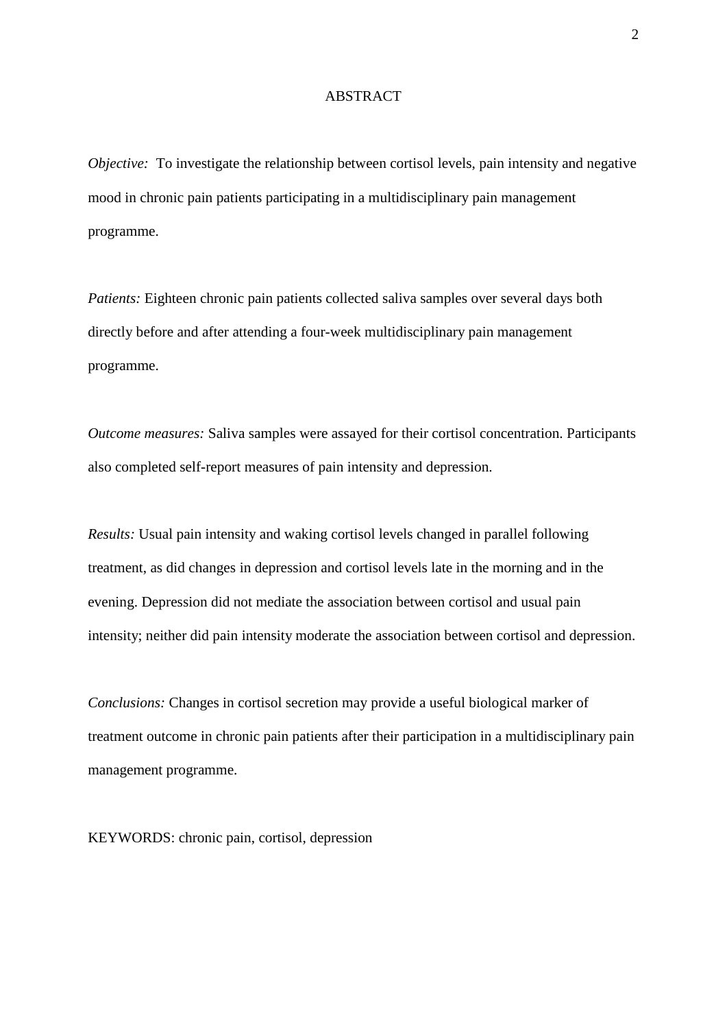#### ABSTRACT

*Objective:* To investigate the relationship between cortisol levels, pain intensity and negative mood in chronic pain patients participating in a multidisciplinary pain management programme.

*Patients:* Eighteen chronic pain patients collected saliva samples over several days both directly before and after attending a four-week multidisciplinary pain management programme.

*Outcome measures:* Saliva samples were assayed for their cortisol concentration. Participants also completed self-report measures of pain intensity and depression.

*Results:* Usual pain intensity and waking cortisol levels changed in parallel following treatment, as did changes in depression and cortisol levels late in the morning and in the evening. Depression did not mediate the association between cortisol and usual pain intensity; neither did pain intensity moderate the association between cortisol and depression.

*Conclusions:* Changes in cortisol secretion may provide a useful biological marker of treatment outcome in chronic pain patients after their participation in a multidisciplinary pain management programme.

KEYWORDS: chronic pain, cortisol, depression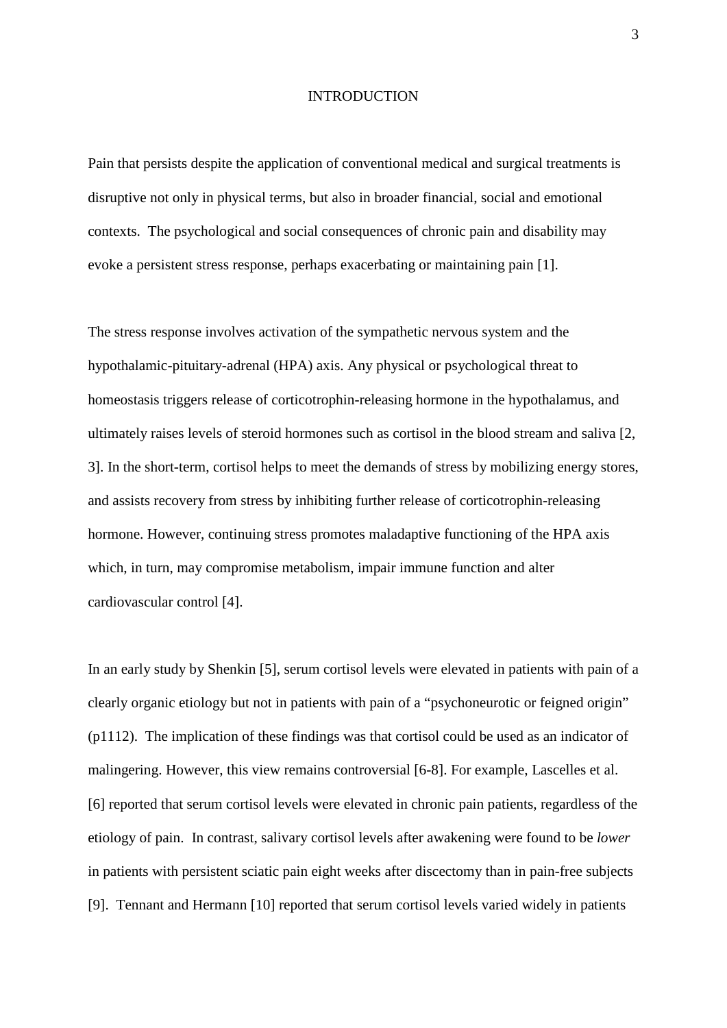#### INTRODUCTION

Pain that persists despite the application of conventional medical and surgical treatments is disruptive not only in physical terms, but also in broader financial, social and emotional contexts. The psychological and social consequences of chronic pain and disability may evoke a persistent stress response, perhaps exacerbating or maintaining pain [1].

The stress response involves activation of the sympathetic nervous system and the hypothalamic-pituitary-adrenal (HPA) axis. Any physical or psychological threat to homeostasis triggers release of corticotrophin-releasing hormone in the hypothalamus, and ultimately raises levels of steroid hormones such as cortisol in the blood stream and saliva [2, 3]. In the short-term, cortisol helps to meet the demands of stress by mobilizing energy stores, and assists recovery from stress by inhibiting further release of corticotrophin-releasing hormone. However, continuing stress promotes maladaptive functioning of the HPA axis which, in turn, may compromise metabolism, impair immune function and alter cardiovascular control [4].

In an early study by Shenkin [5], serum cortisol levels were elevated in patients with pain of a clearly organic etiology but not in patients with pain of a "psychoneurotic or feigned origin" (p1112). The implication of these findings was that cortisol could be used as an indicator of malingering. However, this view remains controversial [6-8]. For example, Lascelles et al. [6] reported that serum cortisol levels were elevated in chronic pain patients, regardless of the etiology of pain. In contrast, salivary cortisol levels after awakening were found to be *lower* in patients with persistent sciatic pain eight weeks after discectomy than in pain-free subjects [9]. Tennant and Hermann [10] reported that serum cortisol levels varied widely in patients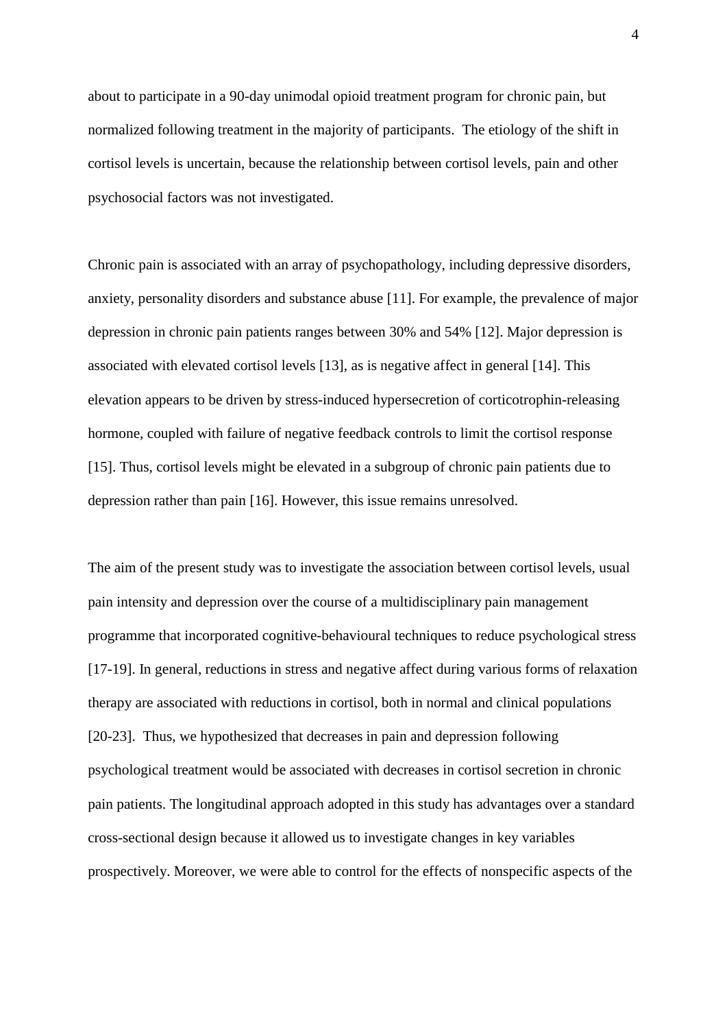about to participate in a 90-day unimodal opioid treatment program for chronic pain, but normalized following treatment in the majority of participants. The etiology of the shift in cortisol levels is uncertain, because the relationship between cortisol levels, pain and other psychosocial factors was not investigated.

Chronic pain is associated with an array of psychopathology, including depressive disorders, anxiety, personality disorders and substance abuse [11]. For example, the prevalence of major depression in chronic pain patients ranges between 30% and 54% [12]. Major depression is associated with elevated cortisol levels [13], as is negative affect in general [14]. This elevation appears to be driven by stress-induced hypersecretion of corticotrophin-releasing hormone, coupled with failure of negative feedback controls to limit the cortisol response [15]. Thus, cortisol levels might be elevated in a subgroup of chronic pain patients due to depression rather than pain [16]. However, this issue remains unresolved.

The aim of the present study was to investigate the association between cortisol levels, usual pain intensity and depression over the course of a multidisciplinary pain management programme that incorporated cognitive-behavioural techniques to reduce psychological stress [17-19]. In general, reductions in stress and negative affect during various forms of relaxation therapy are associated with reductions in cortisol, both in normal and clinical populations [20-23]. Thus, we hypothesized that decreases in pain and depression following psychological treatment would be associated with decreases in cortisol secretion in chronic pain patients. The longitudinal approach adopted in this study has advantages over a standard cross-sectional design because it allowed us to investigate changes in key variables prospectively. Moreover, we were able to control for the effects of nonspecific aspects of the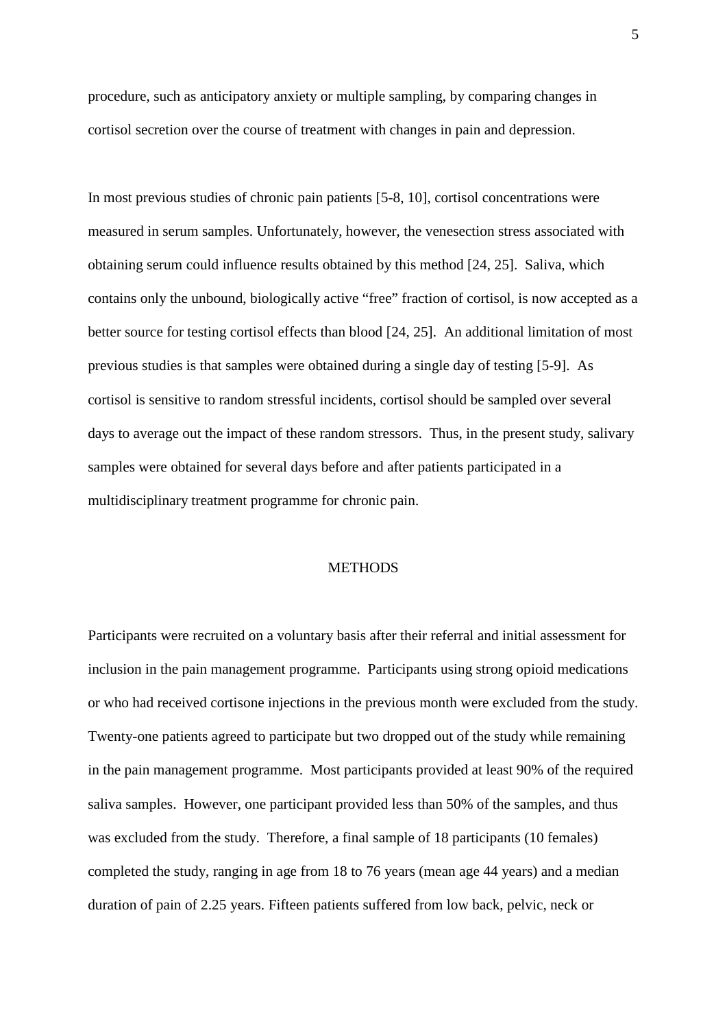procedure, such as anticipatory anxiety or multiple sampling, by comparing changes in cortisol secretion over the course of treatment with changes in pain and depression.

In most previous studies of chronic pain patients [5-8, 10], cortisol concentrations were measured in serum samples. Unfortunately, however, the venesection stress associated with obtaining serum could influence results obtained by this method [24, 25]. Saliva, which contains only the unbound, biologically active "free" fraction of cortisol, is now accepted as a better source for testing cortisol effects than blood [24, 25]. An additional limitation of most previous studies is that samples were obtained during a single day of testing [5-9]. As cortisol is sensitive to random stressful incidents, cortisol should be sampled over several days to average out the impact of these random stressors. Thus, in the present study, salivary samples were obtained for several days before and after patients participated in a multidisciplinary treatment programme for chronic pain.

## **METHODS**

Participants were recruited on a voluntary basis after their referral and initial assessment for inclusion in the pain management programme. Participants using strong opioid medications or who had received cortisone injections in the previous month were excluded from the study. Twenty-one patients agreed to participate but two dropped out of the study while remaining in the pain management programme. Most participants provided at least 90% of the required saliva samples. However, one participant provided less than 50% of the samples, and thus was excluded from the study. Therefore, a final sample of 18 participants (10 females) completed the study, ranging in age from 18 to 76 years (mean age 44 years) and a median duration of pain of 2.25 years. Fifteen patients suffered from low back, pelvic, neck or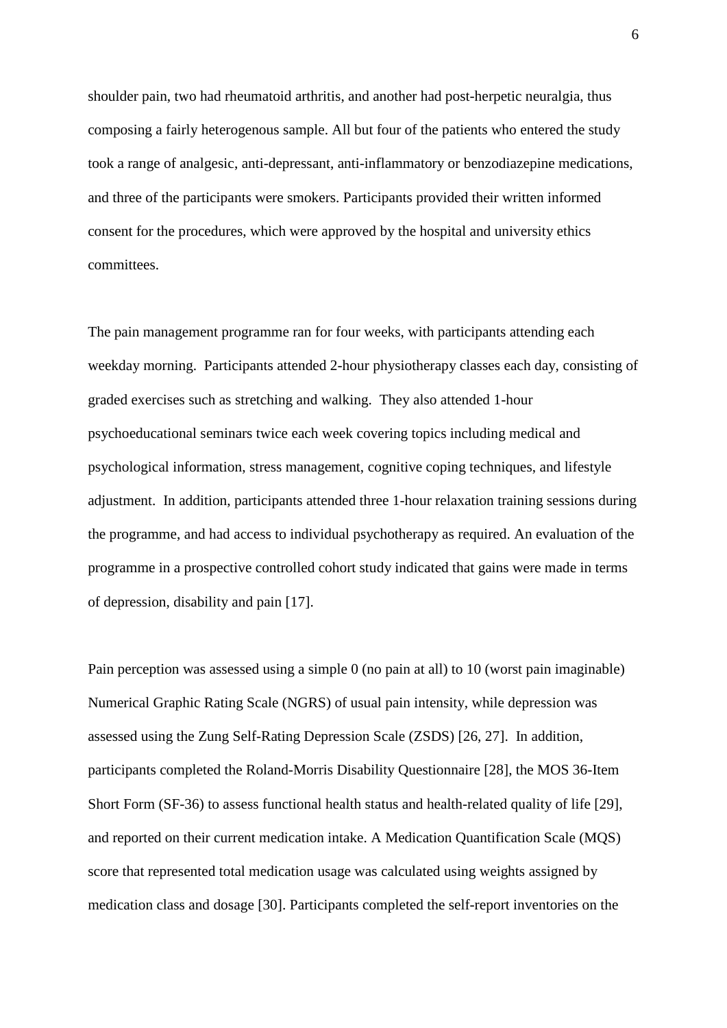shoulder pain, two had rheumatoid arthritis, and another had post-herpetic neuralgia, thus composing a fairly heterogenous sample. All but four of the patients who entered the study took a range of analgesic, anti-depressant, anti-inflammatory or benzodiazepine medications, and three of the participants were smokers. Participants provided their written informed consent for the procedures, which were approved by the hospital and university ethics committees.

The pain management programme ran for four weeks, with participants attending each weekday morning. Participants attended 2-hour physiotherapy classes each day, consisting of graded exercises such as stretching and walking. They also attended 1-hour psychoeducational seminars twice each week covering topics including medical and psychological information, stress management, cognitive coping techniques, and lifestyle adjustment. In addition, participants attended three 1-hour relaxation training sessions during the programme, and had access to individual psychotherapy as required. An evaluation of the programme in a prospective controlled cohort study indicated that gains were made in terms of depression, disability and pain [17].

Pain perception was assessed using a simple 0 (no pain at all) to 10 (worst pain imaginable) Numerical Graphic Rating Scale (NGRS) of usual pain intensity, while depression was assessed using the Zung Self-Rating Depression Scale (ZSDS) [26, 27]. In addition, participants completed the Roland-Morris Disability Questionnaire [28], the MOS 36-Item Short Form (SF-36) to assess functional health status and health-related quality of life [29], and reported on their current medication intake. A Medication Quantification Scale (MQS) score that represented total medication usage was calculated using weights assigned by medication class and dosage [30]. Participants completed the self-report inventories on the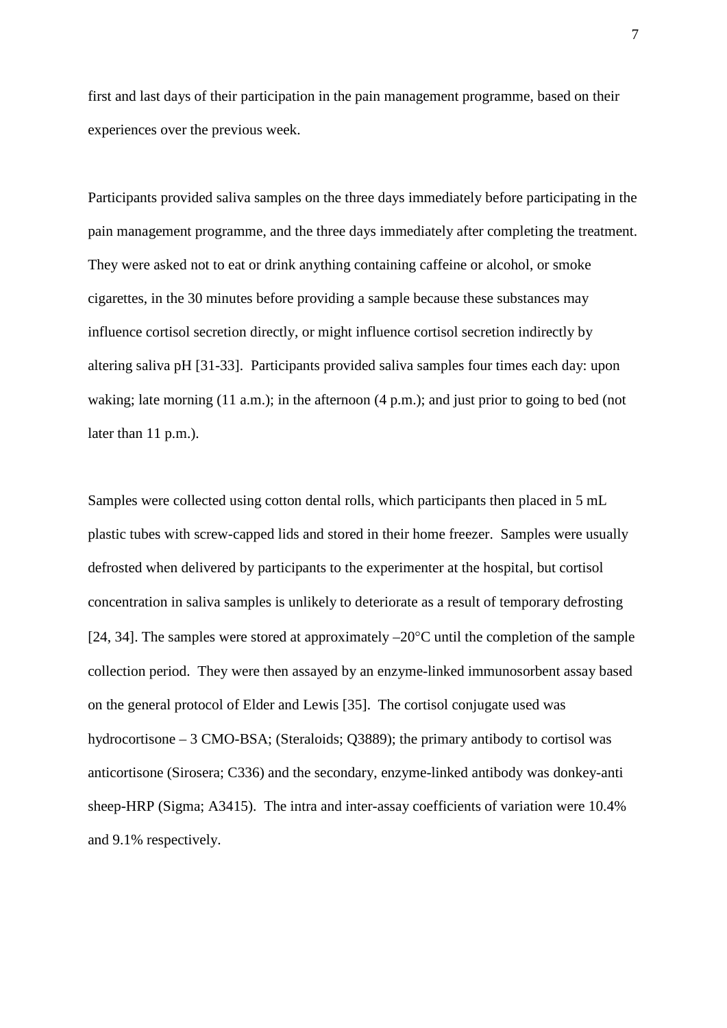first and last days of their participation in the pain management programme, based on their experiences over the previous week.

Participants provided saliva samples on the three days immediately before participating in the pain management programme, and the three days immediately after completing the treatment. They were asked not to eat or drink anything containing caffeine or alcohol, or smoke cigarettes, in the 30 minutes before providing a sample because these substances may influence cortisol secretion directly, or might influence cortisol secretion indirectly by altering saliva pH [31-33]. Participants provided saliva samples four times each day: upon waking; late morning (11 a.m.); in the afternoon (4 p.m.); and just prior to going to bed (not later than 11 p.m.).

Samples were collected using cotton dental rolls, which participants then placed in 5 mL plastic tubes with screw-capped lids and stored in their home freezer. Samples were usually defrosted when delivered by participants to the experimenter at the hospital, but cortisol concentration in saliva samples is unlikely to deteriorate as a result of temporary defrosting [24, 34]. The samples were stored at approximately  $-20^{\circ}$ C until the completion of the sample collection period. They were then assayed by an enzyme-linked immunosorbent assay based on the general protocol of Elder and Lewis [35]. The cortisol conjugate used was hydrocortisone – 3 CMO-BSA; (Steraloids; Q3889); the primary antibody to cortisol was anticortisone (Sirosera; C336) and the secondary, enzyme-linked antibody was donkey-anti sheep-HRP (Sigma; A3415). The intra and inter-assay coefficients of variation were 10.4% and 9.1% respectively.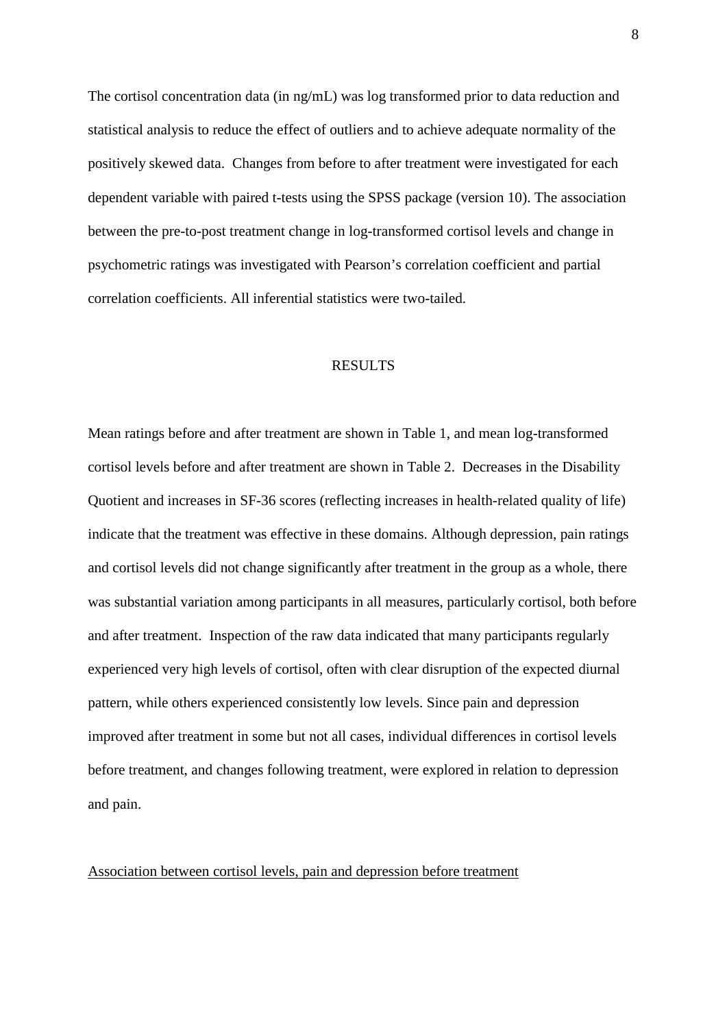The cortisol concentration data (in ng/mL) was log transformed prior to data reduction and statistical analysis to reduce the effect of outliers and to achieve adequate normality of the positively skewed data. Changes from before to after treatment were investigated for each dependent variable with paired t-tests using the SPSS package (version 10). The association between the pre-to-post treatment change in log-transformed cortisol levels and change in psychometric ratings was investigated with Pearson's correlation coefficient and partial correlation coefficients. All inferential statistics were two-tailed.

### RESULTS

Mean ratings before and after treatment are shown in Table 1, and mean log-transformed cortisol levels before and after treatment are shown in Table 2. Decreases in the Disability Quotient and increases in SF-36 scores (reflecting increases in health-related quality of life) indicate that the treatment was effective in these domains. Although depression, pain ratings and cortisol levels did not change significantly after treatment in the group as a whole, there was substantial variation among participants in all measures, particularly cortisol, both before and after treatment. Inspection of the raw data indicated that many participants regularly experienced very high levels of cortisol, often with clear disruption of the expected diurnal pattern, while others experienced consistently low levels. Since pain and depression improved after treatment in some but not all cases, individual differences in cortisol levels before treatment, and changes following treatment, were explored in relation to depression and pain.

#### Association between cortisol levels, pain and depression before treatment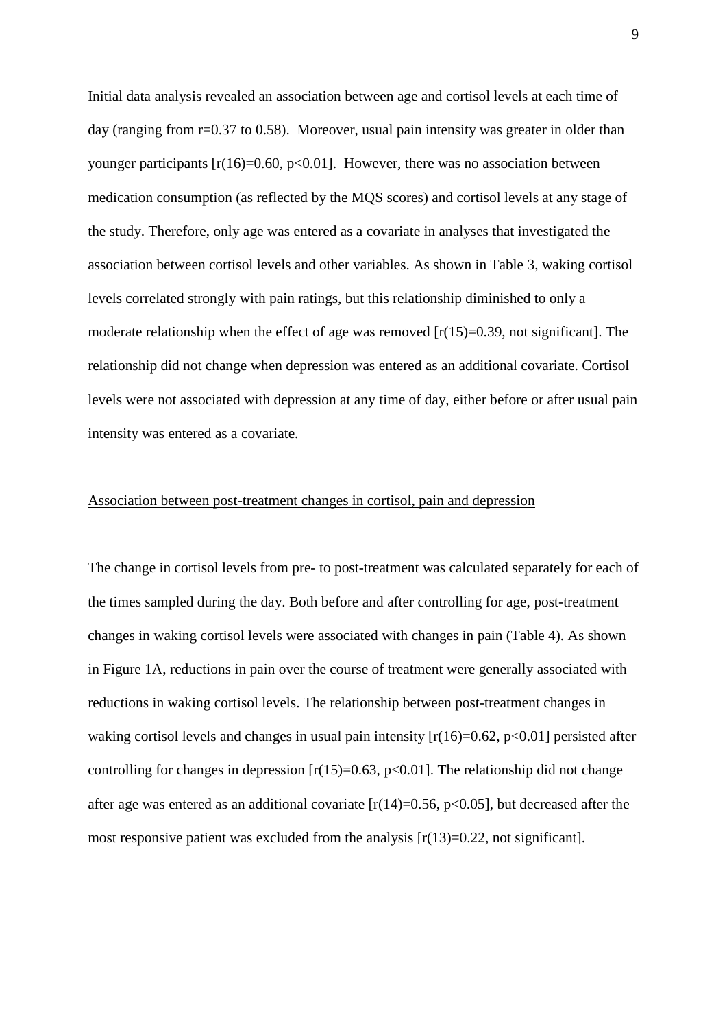Initial data analysis revealed an association between age and cortisol levels at each time of day (ranging from r=0.37 to 0.58). Moreover, usual pain intensity was greater in older than younger participants  $[r(16)=0.60, p<0.01]$ . However, there was no association between medication consumption (as reflected by the MQS scores) and cortisol levels at any stage of the study. Therefore, only age was entered as a covariate in analyses that investigated the association between cortisol levels and other variables. As shown in Table 3, waking cortisol levels correlated strongly with pain ratings, but this relationship diminished to only a moderate relationship when the effect of age was removed  $[r(15)=0.39]$ , not significant. relationship did not change when depression was entered as an additional covariate. Cortisol levels were not associated with depression at any time of day, either before or after usual pain intensity was entered as a covariate.

# Association between post-treatment changes in cortisol, pain and depression

The change in cortisol levels from pre- to post-treatment was calculated separately for each of the times sampled during the day. Both before and after controlling for age, post-treatment changes in waking cortisol levels were associated with changes in pain (Table 4). As shown in Figure 1A, reductions in pain over the course of treatment were generally associated with reductions in waking cortisol levels. The relationship between post-treatment changes in waking cortisol levels and changes in usual pain intensity  $[r(16)=0.62, p<0.01]$  persisted after controlling for changes in depression  $[r(15)=0.63, p<0.01]$ . The relationship did not change after age was entered as an additional covariate  $[r(14)=0.56, p<0.05]$ , but decreased after the most responsive patient was excluded from the analysis  $[r(13)=0.22]$ , not significant.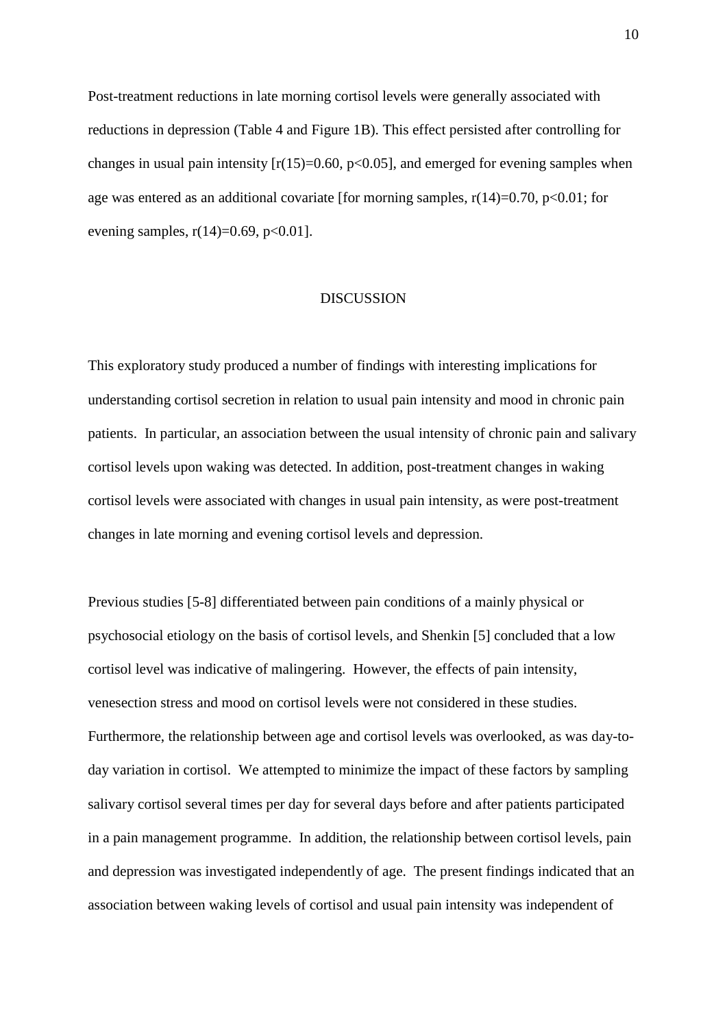Post-treatment reductions in late morning cortisol levels were generally associated with reductions in depression (Table 4 and Figure 1B). This effect persisted after controlling for changes in usual pain intensity  $[r(15)=0.60, p<0.05]$ , and emerged for evening samples when age was entered as an additional covariate [for morning samples,  $r(14)=0.70$ ,  $p<0.01$ ; for evening samples,  $r(14)=0.69$ ,  $p<0.01$ ].

#### **DISCUSSION**

This exploratory study produced a number of findings with interesting implications for understanding cortisol secretion in relation to usual pain intensity and mood in chronic pain patients. In particular, an association between the usual intensity of chronic pain and salivary cortisol levels upon waking was detected. In addition, post-treatment changes in waking cortisol levels were associated with changes in usual pain intensity, as were post-treatment changes in late morning and evening cortisol levels and depression.

Previous studies [5-8] differentiated between pain conditions of a mainly physical or psychosocial etiology on the basis of cortisol levels, and Shenkin [5] concluded that a low cortisol level was indicative of malingering. However, the effects of pain intensity, venesection stress and mood on cortisol levels were not considered in these studies. Furthermore, the relationship between age and cortisol levels was overlooked, as was day-today variation in cortisol. We attempted to minimize the impact of these factors by sampling salivary cortisol several times per day for several days before and after patients participated in a pain management programme. In addition, the relationship between cortisol levels, pain and depression was investigated independently of age. The present findings indicated that an association between waking levels of cortisol and usual pain intensity was independent of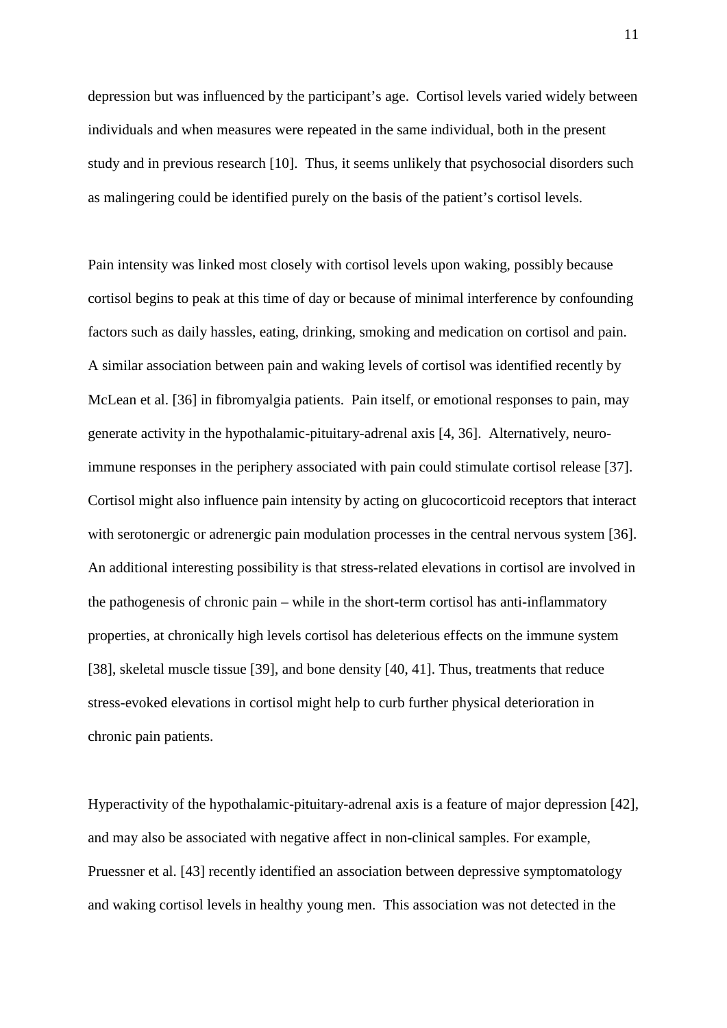depression but was influenced by the participant's age. Cortisol levels varied widely between individuals and when measures were repeated in the same individual, both in the present study and in previous research [10]. Thus, it seems unlikely that psychosocial disorders such as malingering could be identified purely on the basis of the patient's cortisol levels.

Pain intensity was linked most closely with cortisol levels upon waking, possibly because cortisol begins to peak at this time of day or because of minimal interference by confounding factors such as daily hassles, eating, drinking, smoking and medication on cortisol and pain. A similar association between pain and waking levels of cortisol was identified recently by McLean et al. [36] in fibromyalgia patients. Pain itself, or emotional responses to pain, may generate activity in the hypothalamic-pituitary-adrenal axis [4, 36]. Alternatively, neuroimmune responses in the periphery associated with pain could stimulate cortisol release [37]. Cortisol might also influence pain intensity by acting on glucocorticoid receptors that interact with serotonergic or adrenergic pain modulation processes in the central nervous system [36]. An additional interesting possibility is that stress-related elevations in cortisol are involved in the pathogenesis of chronic pain – while in the short-term cortisol has anti-inflammatory properties, at chronically high levels cortisol has deleterious effects on the immune system [38], skeletal muscle tissue [39], and bone density [40, 41]. Thus, treatments that reduce stress-evoked elevations in cortisol might help to curb further physical deterioration in chronic pain patients.

Hyperactivity of the hypothalamic-pituitary-adrenal axis is a feature of major depression [42], and may also be associated with negative affect in non-clinical samples. For example, Pruessner et al. [43] recently identified an association between depressive symptomatology and waking cortisol levels in healthy young men. This association was not detected in the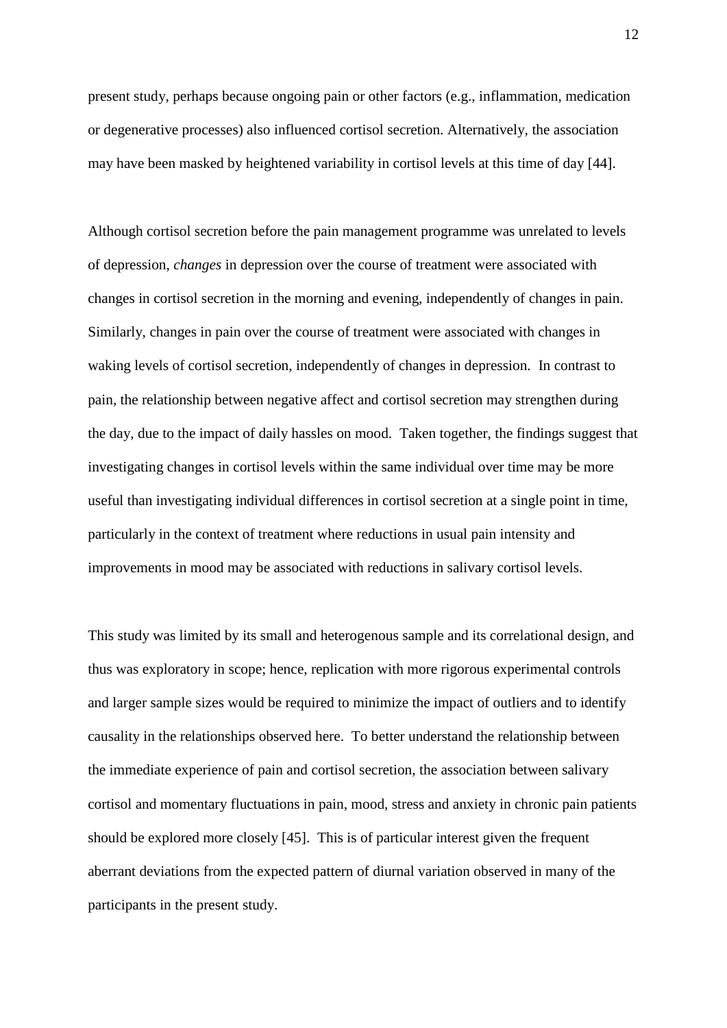present study, perhaps because ongoing pain or other factors (e.g., inflammation, medication or degenerative processes) also influenced cortisol secretion. Alternatively, the association may have been masked by heightened variability in cortisol levels at this time of day [44].

Although cortisol secretion before the pain management programme was unrelated to levels of depression, *changes* in depression over the course of treatment were associated with changes in cortisol secretion in the morning and evening, independently of changes in pain. Similarly, changes in pain over the course of treatment were associated with changes in waking levels of cortisol secretion, independently of changes in depression. In contrast to pain, the relationship between negative affect and cortisol secretion may strengthen during the day, due to the impact of daily hassles on mood. Taken together, the findings suggest that investigating changes in cortisol levels within the same individual over time may be more useful than investigating individual differences in cortisol secretion at a single point in time, particularly in the context of treatment where reductions in usual pain intensity and improvements in mood may be associated with reductions in salivary cortisol levels.

This study was limited by its small and heterogenous sample and its correlational design, and thus was exploratory in scope; hence, replication with more rigorous experimental controls and larger sample sizes would be required to minimize the impact of outliers and to identify causality in the relationships observed here. To better understand the relationship between the immediate experience of pain and cortisol secretion, the association between salivary cortisol and momentary fluctuations in pain, mood, stress and anxiety in chronic pain patients should be explored more closely [45]. This is of particular interest given the frequent aberrant deviations from the expected pattern of diurnal variation observed in many of the participants in the present study.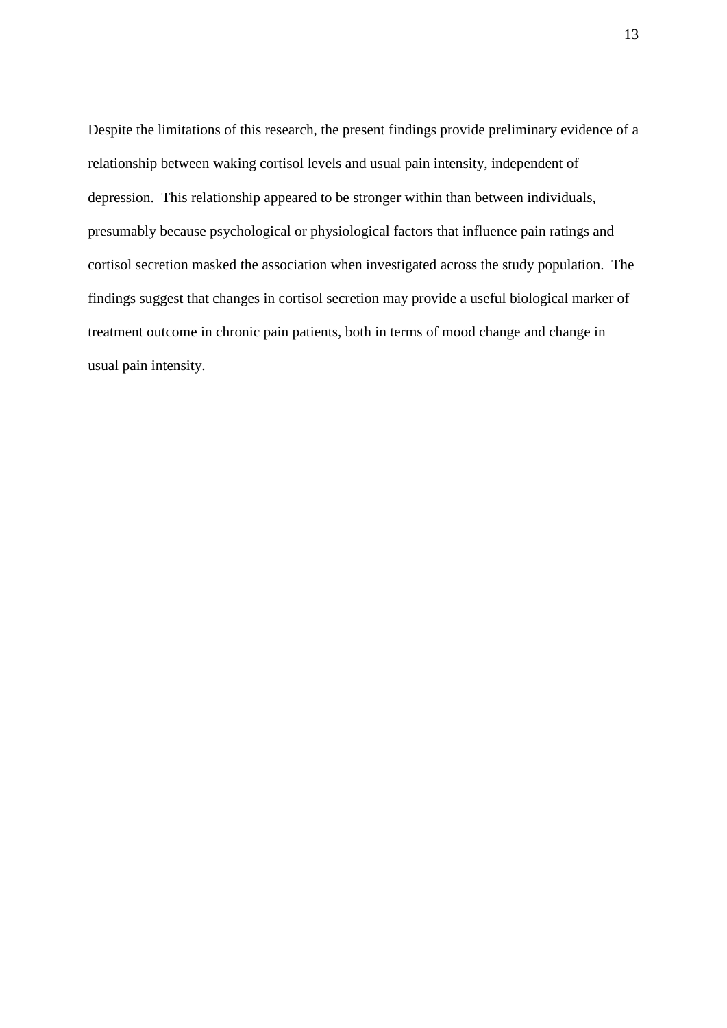Despite the limitations of this research, the present findings provide preliminary evidence of a relationship between waking cortisol levels and usual pain intensity, independent of depression. This relationship appeared to be stronger within than between individuals, presumably because psychological or physiological factors that influence pain ratings and cortisol secretion masked the association when investigated across the study population. The findings suggest that changes in cortisol secretion may provide a useful biological marker of treatment outcome in chronic pain patients, both in terms of mood change and change in usual pain intensity.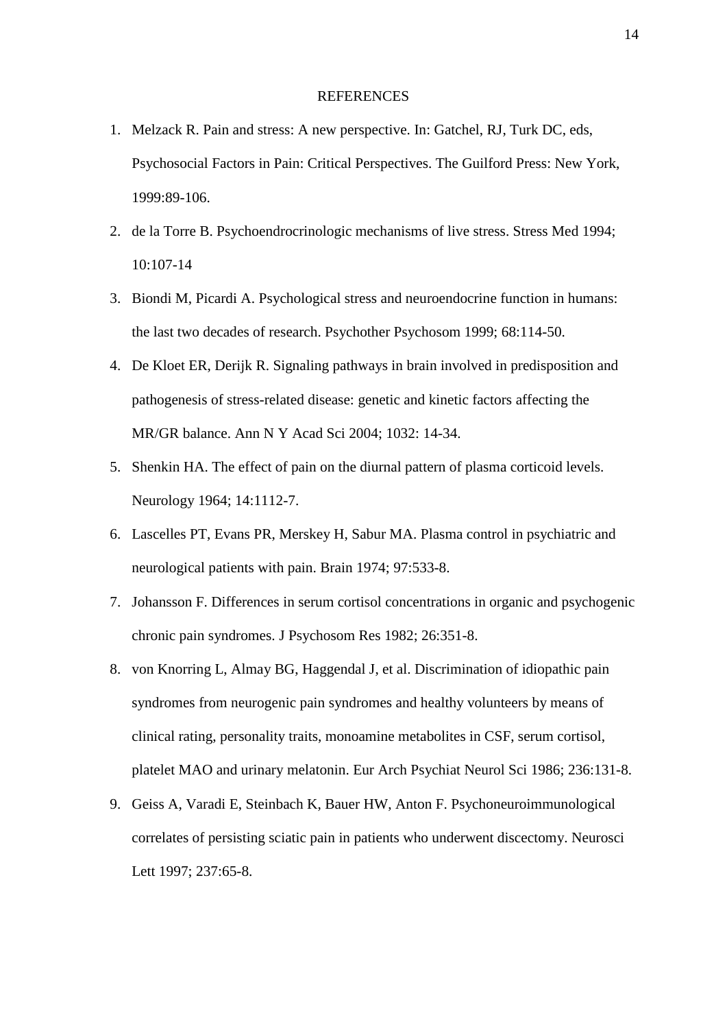#### REFERENCES

- 1. Melzack R. Pain and stress: A new perspective. In: Gatchel, RJ, Turk DC, eds, Psychosocial Factors in Pain: Critical Perspectives. The Guilford Press: New York, 1999:89-106.
- 2. de la Torre B. Psychoendrocrinologic mechanisms of live stress. Stress Med 1994; 10:107-14
- 3. Biondi M, Picardi A. Psychological stress and neuroendocrine function in humans: the last two decades of research. Psychother Psychosom 1999; 68:114-50.
- 4. De Kloet ER, Derijk R. Signaling pathways in brain involved in predisposition and pathogenesis of stress-related disease: genetic and kinetic factors affecting the MR/GR balance. Ann N Y Acad Sci 2004; 1032: 14-34.
- 5. Shenkin HA. The effect of pain on the diurnal pattern of plasma corticoid levels. Neurology 1964; 14:1112-7.
- 6. Lascelles PT, Evans PR, Merskey H, Sabur MA. Plasma control in psychiatric and neurological patients with pain. Brain 1974; 97:533-8.
- 7. Johansson F. Differences in serum cortisol concentrations in organic and psychogenic chronic pain syndromes. J Psychosom Res 1982; 26:351-8.
- 8. von Knorring L, Almay BG, Haggendal J, et al. Discrimination of idiopathic pain syndromes from neurogenic pain syndromes and healthy volunteers by means of clinical rating, personality traits, monoamine metabolites in CSF, serum cortisol, platelet MAO and urinary melatonin. Eur Arch Psychiat Neurol Sci 1986; 236:131-8.
- 9. Geiss A, Varadi E, Steinbach K, Bauer HW, Anton F. Psychoneuroimmunological correlates of persisting sciatic pain in patients who underwent discectomy. Neurosci Lett 1997; 237:65-8.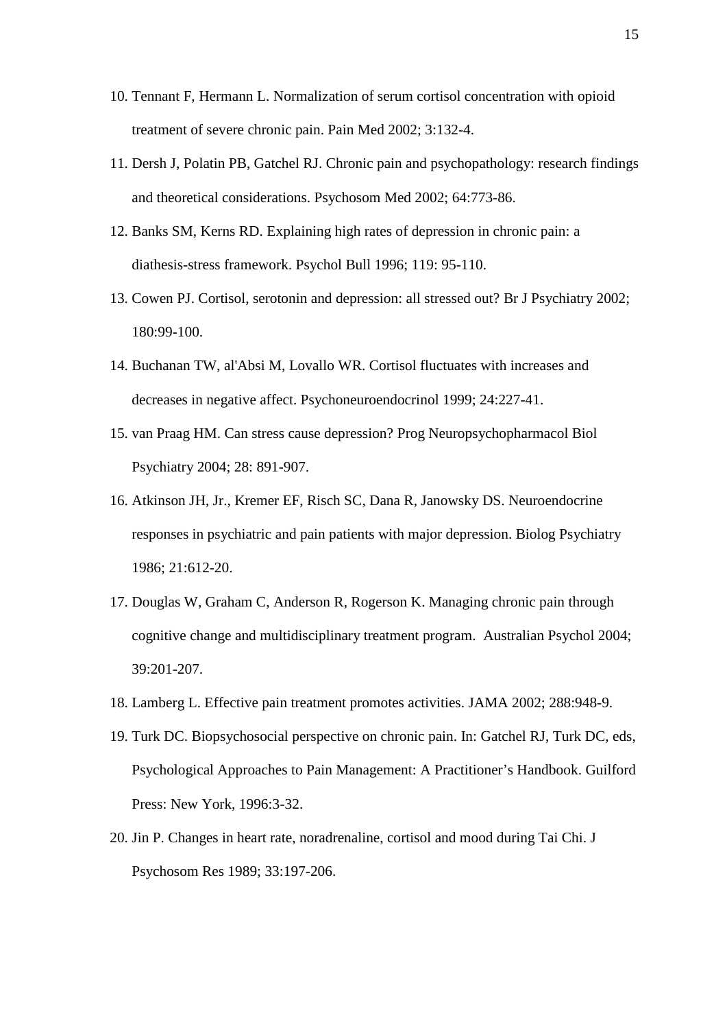- 10. Tennant F, Hermann L. Normalization of serum cortisol concentration with opioid treatment of severe chronic pain. Pain Med 2002; 3:132-4.
- 11. Dersh J, Polatin PB, Gatchel RJ. Chronic pain and psychopathology: research findings and theoretical considerations. Psychosom Med 2002; 64:773-86.
- 12. Banks SM, Kerns RD. Explaining high rates of depression in chronic pain: a diathesis-stress framework. Psychol Bull 1996; 119: 95-110.
- 13. Cowen PJ. Cortisol, serotonin and depression: all stressed out? Br J Psychiatry 2002; 180:99-100.
- 14. Buchanan TW, al'Absi M, Lovallo WR. Cortisol fluctuates with increases and decreases in negative affect. Psychoneuroendocrinol 1999; 24:227-41.
- 15. van Praag HM. Can stress cause depression? Prog Neuropsychopharmacol Biol Psychiatry 2004; 28: 891-907.
- 16. Atkinson JH, Jr., Kremer EF, Risch SC, Dana R, Janowsky DS. Neuroendocrine responses in psychiatric and pain patients with major depression. Biolog Psychiatry 1986; 21:612-20.
- 17. Douglas W, Graham C, Anderson R, Rogerson K. Managing chronic pain through cognitive change and multidisciplinary treatment program. Australian Psychol 2004; 39:201-207.
- 18. Lamberg L. Effective pain treatment promotes activities. JAMA 2002; 288:948-9.
- 19. Turk DC. Biopsychosocial perspective on chronic pain. In: Gatchel RJ, Turk DC, eds, Psychological Approaches to Pain Management: A Practitioner's Handbook. Guilford Press: New York, 1996:3-32.
- 20. Jin P. Changes in heart rate, noradrenaline, cortisol and mood during Tai Chi. J Psychosom Res 1989; 33:197-206.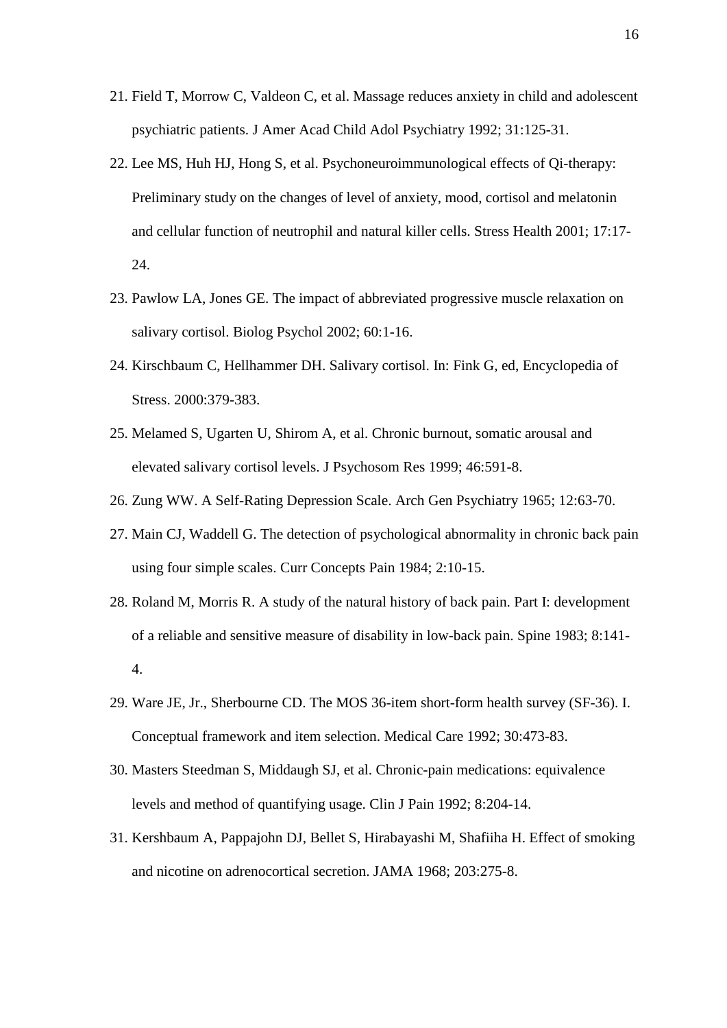- 21. Field T, Morrow C, Valdeon C, et al. Massage reduces anxiety in child and adolescent psychiatric patients. [J Amer Acad Child Adol Psychiatry](http://www.ncbi.nlm.nih.gov/entrez/query.fcgi?cmd=Retrieve&db=journals&list_uids=4529&dopt=full) 1992; 31:125-31.
- 22. Lee MS, Huh HJ, Hong S, et al. Psychoneuroimmunological effects of Qi-therapy: Preliminary study on the changes of level of anxiety, mood, cortisol and melatonin and cellular function of neutrophil and natural killer cells. Stress Health 2001; 17:17- 24.
- 23. Pawlow LA, Jones GE. The impact of abbreviated progressive muscle relaxation on salivary cortisol. Biolog Psychol 2002; 60:1-16.
- 24. Kirschbaum C, Hellhammer DH. Salivary cortisol. In: Fink G, ed, Encyclopedia of Stress. 2000:379-383.
- 25. Melamed S, Ugarten U, Shirom A, et al. Chronic burnout, somatic arousal and elevated salivary cortisol levels. J Psychosom Res 1999; 46:591-8.
- 26. Zung WW. A Self-Rating Depression Scale. Arch Gen Psychiatry 1965; 12:63-70.
- 27. Main CJ, Waddell G. The detection of psychological abnormality in chronic back pain using four simple scales. Curr Concepts Pain 1984; 2:10-15.
- 28. Roland M, Morris R. A study of the natural history of back pain. Part I: development of a reliable and sensitive measure of disability in low-back pain. Spine 1983; 8:141- 4.
- 29. Ware JE, Jr., Sherbourne CD. The MOS 36-item short-form health survey (SF-36). I. Conceptual framework and item selection. Medical Care 1992; 30:473-83.
- 30. Masters Steedman S, Middaugh SJ, et al. Chronic-pain medications: equivalence levels and method of quantifying usage. Clin J Pain 1992; 8:204-14.
- 31. Kershbaum A, Pappajohn DJ, Bellet S, Hirabayashi M, Shafiiha H. Effect of smoking and nicotine on adrenocortical secretion. JAMA 1968; 203:275-8.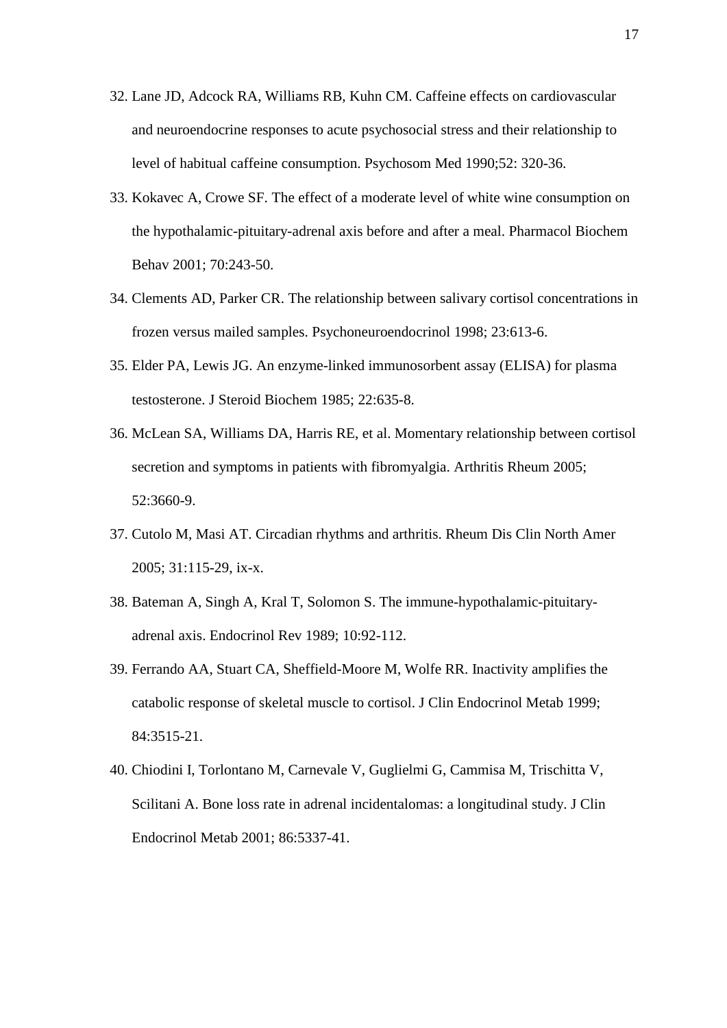- 32. Lane JD, Adcock RA, Williams RB, Kuhn CM. Caffeine effects on cardiovascular and neuroendocrine responses to acute psychosocial stress and their relationship to level of habitual caffeine consumption. Psychosom Med 1990;52: 320-36.
- 33. Kokavec A, Crowe SF. The effect of a moderate level of white wine consumption on the hypothalamic-pituitary-adrenal axis before and after a meal. Pharmacol Biochem Behav 2001; 70:243-50.
- 34. Clements AD, Parker CR. The relationship between salivary cortisol concentrations in frozen versus mailed samples. Psychoneuroendocrinol 1998; 23:613-6.
- 35. Elder PA, Lewis JG. An enzyme-linked immunosorbent assay (ELISA) for plasma testosterone. J Steroid Biochem 1985; 22:635-8.
- 36. McLean SA, Williams DA, Harris RE, et al. Momentary relationship between cortisol secretion and symptoms in patients with fibromyalgia. Arthritis Rheum 2005; 52:3660-9.
- 37. Cutolo M, Masi AT. Circadian rhythms and arthritis. Rheum Dis Clin North Amer 2005; 31:115-29, ix-x.
- 38. Bateman A, Singh A, Kral T, Solomon S. The immune-hypothalamic-pituitaryadrenal axis. Endocrinol Rev 1989; 10:92-112.
- 39. Ferrando AA, Stuart CA, Sheffield-Moore M, Wolfe RR. Inactivity amplifies the catabolic response of skeletal muscle to cortisol. J Clin Endocrinol Metab 1999; 84:3515-21.
- 40. Chiodini I, Torlontano M, Carnevale V, Guglielmi G, Cammisa M, Trischitta V, Scilitani A. Bone loss rate in adrenal incidentalomas: a longitudinal study. J Clin Endocrinol Metab 2001; 86:5337-41.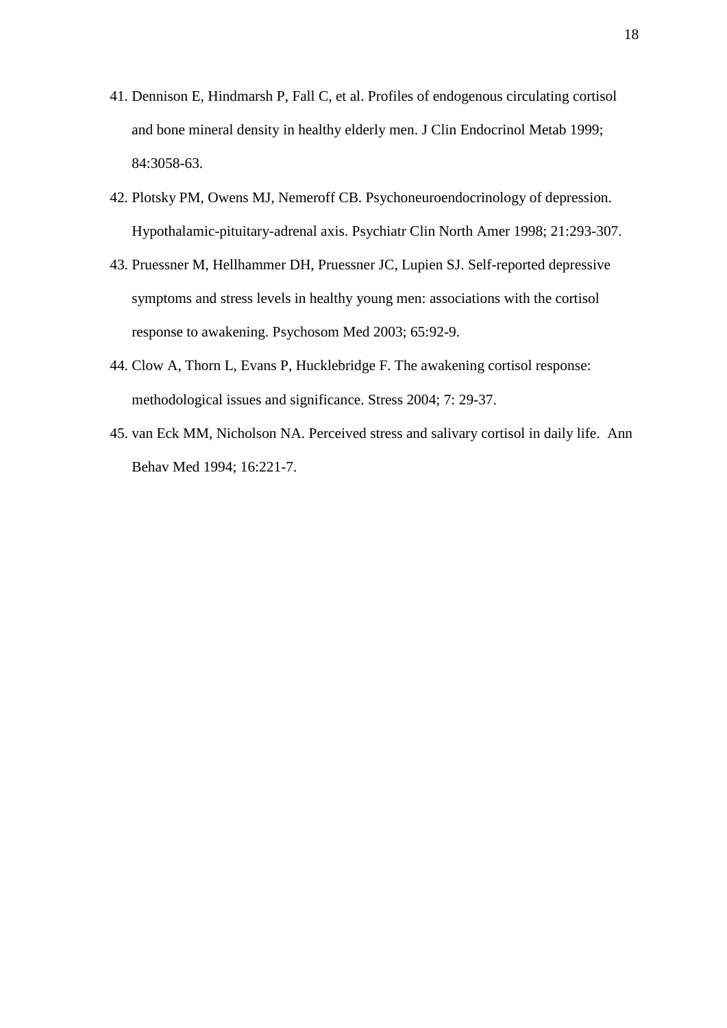- 41. Dennison E, Hindmarsh P, Fall C, et al. Profiles of endogenous circulating cortisol and bone mineral density in healthy elderly men. J Clin Endocrinol Metab 1999; 84:3058-63.
- 42. Plotsky PM, Owens MJ, Nemeroff CB. Psychoneuroendocrinology of depression. Hypothalamic-pituitary-adrenal axis. Psychiatr Clin North Amer 1998; 21:293-307.
- 43. Pruessner M, Hellhammer DH, Pruessner JC, Lupien SJ. Self-reported depressive symptoms and stress levels in healthy young men: associations with the cortisol response to awakening. Psychosom Med 2003; 65:92-9.
- 44. Clow A, Thorn L, Evans P, Hucklebridge F. The awakening cortisol response: methodological issues and significance. Stress 2004; 7: 29-37.
- 45. van Eck MM, Nicholson NA. Perceived stress and salivary cortisol in daily life. Ann Behav Med 1994; 16:221-7.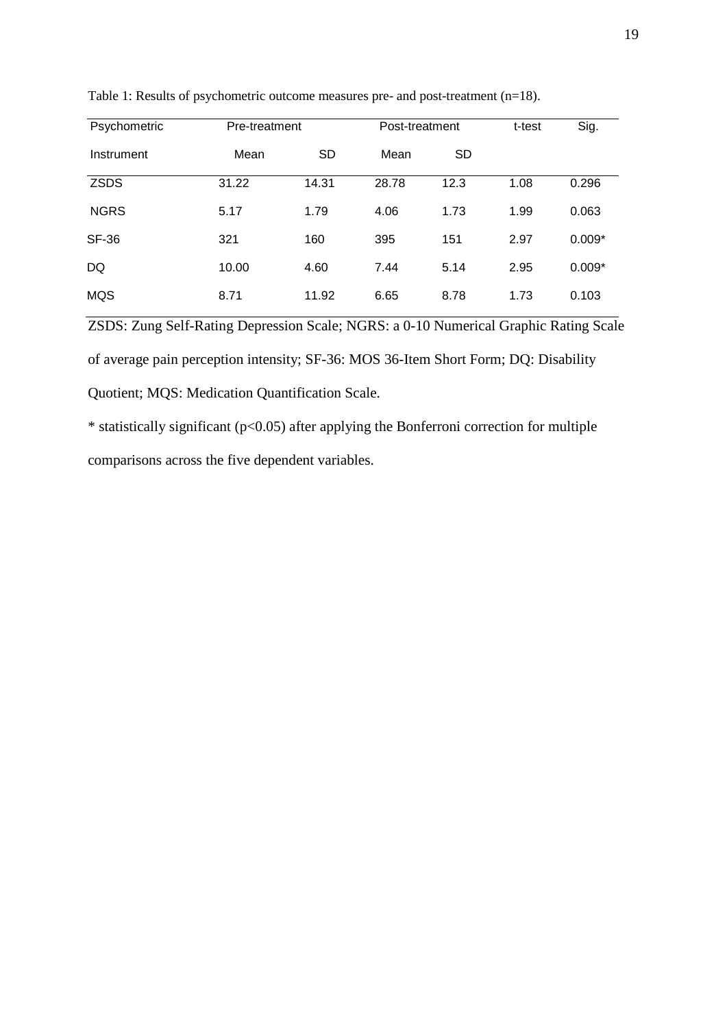| Psychometric | Pre-treatment |           | Post-treatment |           | t-test | Sig.     |
|--------------|---------------|-----------|----------------|-----------|--------|----------|
| Instrument   | Mean          | <b>SD</b> | Mean           | <b>SD</b> |        |          |
| <b>ZSDS</b>  | 31.22         | 14.31     | 28.78          | 12.3      | 1.08   | 0.296    |
| <b>NGRS</b>  | 5.17          | 1.79      | 4.06           | 1.73      | 1.99   | 0.063    |
| <b>SF-36</b> | 321           | 160       | 395            | 151       | 2.97   | $0.009*$ |
| DQ           | 10.00         | 4.60      | 7.44           | 5.14      | 2.95   | $0.009*$ |
| <b>MQS</b>   | 8.71          | 11.92     | 6.65           | 8.78      | 1.73   | 0.103    |

Table 1: Results of psychometric outcome measures pre- and post-treatment (n=18).

ZSDS: Zung Self-Rating Depression Scale; NGRS: a 0-10 Numerical Graphic Rating Scale of average pain perception intensity; SF-36: MOS 36-Item Short Form; DQ: Disability Quotient; MQS: Medication Quantification Scale.

 $*$  statistically significant ( $p<0.05$ ) after applying the Bonferroni correction for multiple comparisons across the five dependent variables.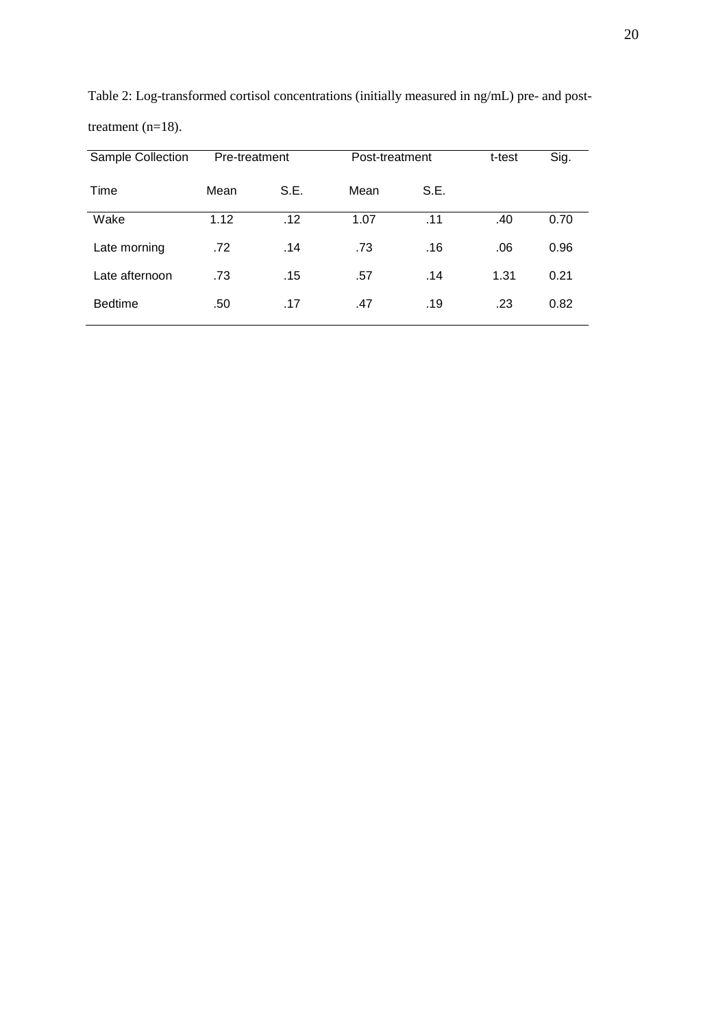|      | Pre-treatment | Post-treatment |      | t-test | Sig. |
|------|---------------|----------------|------|--------|------|
| Mean | S.E.          | Mean           | S.E. |        |      |
| 1.12 | .12           | 1.07           | .11  | .40    | 0.70 |
| .72  | .14           | .73            | .16  | .06    | 0.96 |
| .73  | .15           | .57            | .14  | 1.31   | 0.21 |
| .50  | .17           | .47            | .19  | .23    | 0.82 |
|      |               |                |      |        |      |

Table 2: Log-transformed cortisol concentrations (initially measured in ng/mL) pre- and posttreatment (n=18).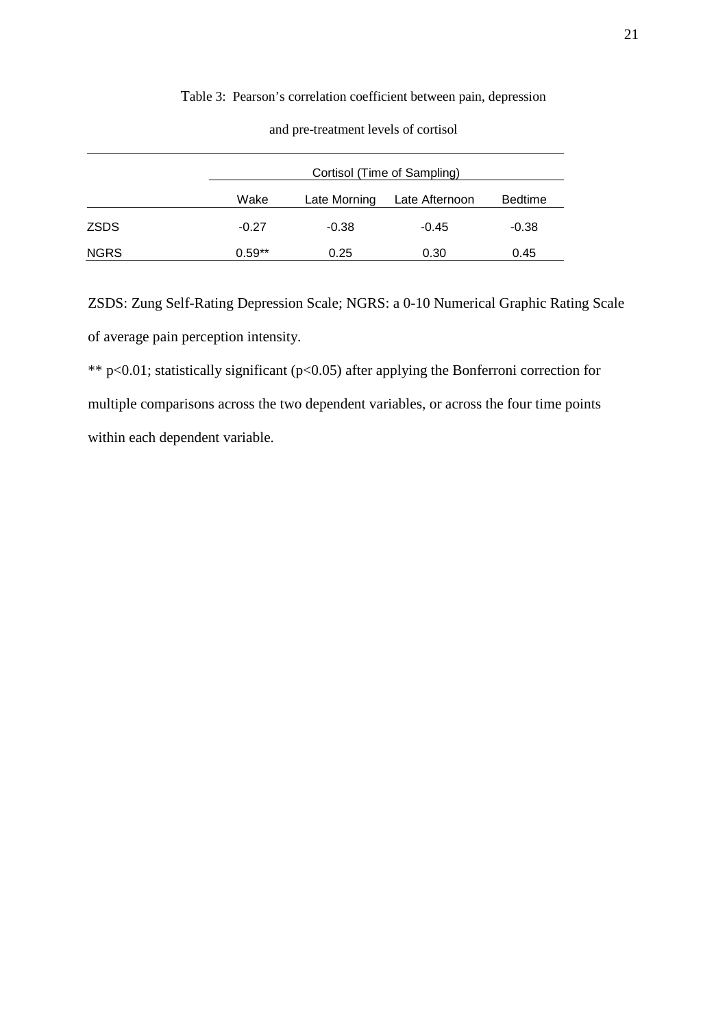## Table 3: Pearson's correlation coefficient between pain, depression

| and pre-treatment levels of cortisol |  |  |  |  |
|--------------------------------------|--|--|--|--|
|--------------------------------------|--|--|--|--|

|             | Cortisol (Time of Sampling) |              |                |                |  |
|-------------|-----------------------------|--------------|----------------|----------------|--|
|             | Wake                        | Late Morning | Late Afternoon | <b>Bedtime</b> |  |
| <b>ZSDS</b> | $-0.27$                     | $-0.38$      | $-0.45$        | $-0.38$        |  |
| <b>NGRS</b> | $0.59**$                    | 0.25         | 0.30           | 0.45           |  |

ZSDS: Zung Self-Rating Depression Scale; NGRS: a 0-10 Numerical Graphic Rating Scale of average pain perception intensity.

\*\* p<0.01; statistically significant (p<0.05) after applying the Bonferroni correction for multiple comparisons across the two dependent variables, or across the four time points within each dependent variable.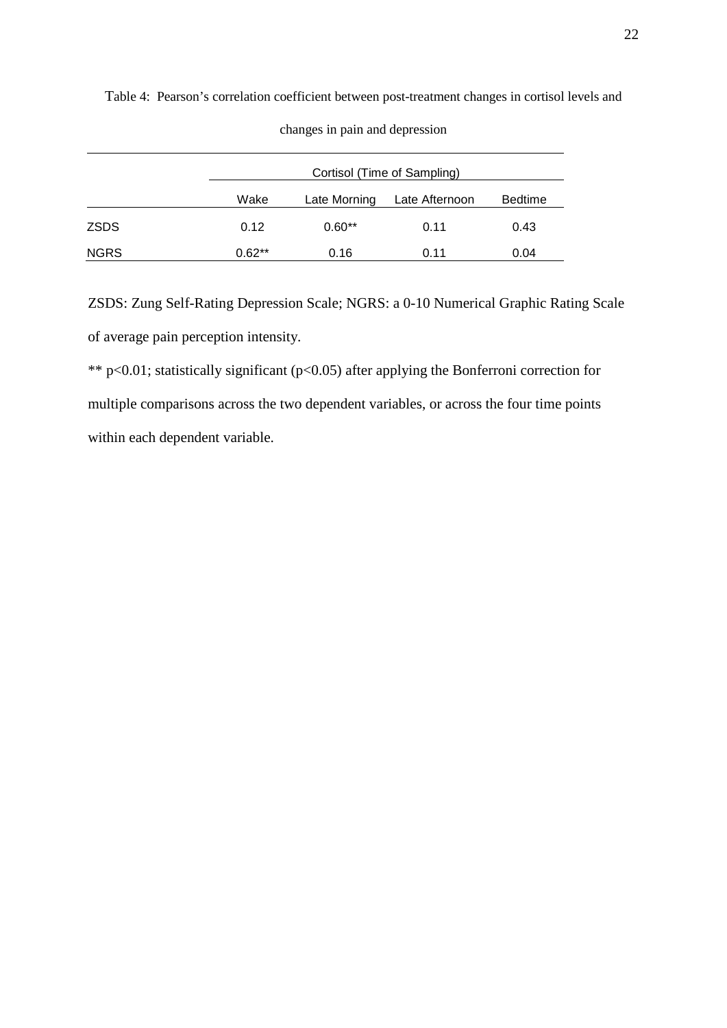|      |          | Cortisol (Time of Sampling) |                |                |  |  |
|------|----------|-----------------------------|----------------|----------------|--|--|
|      | Wake     | Late Morning                | Late Afternoon | <b>Bedtime</b> |  |  |
| ZSDS | 0.12     | $0.60**$                    | 0.11           | 0.43           |  |  |
| NGRS | $0.62**$ | 0.16                        | 0.11           | 0.04           |  |  |

Table 4: Pearson's correlation coefficient between post-treatment changes in cortisol levels and

changes in pain and depression

ZSDS: Zung Self-Rating Depression Scale; NGRS: a 0-10 Numerical Graphic Rating Scale of average pain perception intensity.

\*\* p<0.01; statistically significant (p<0.05) after applying the Bonferroni correction for multiple comparisons across the two dependent variables, or across the four time points within each dependent variable.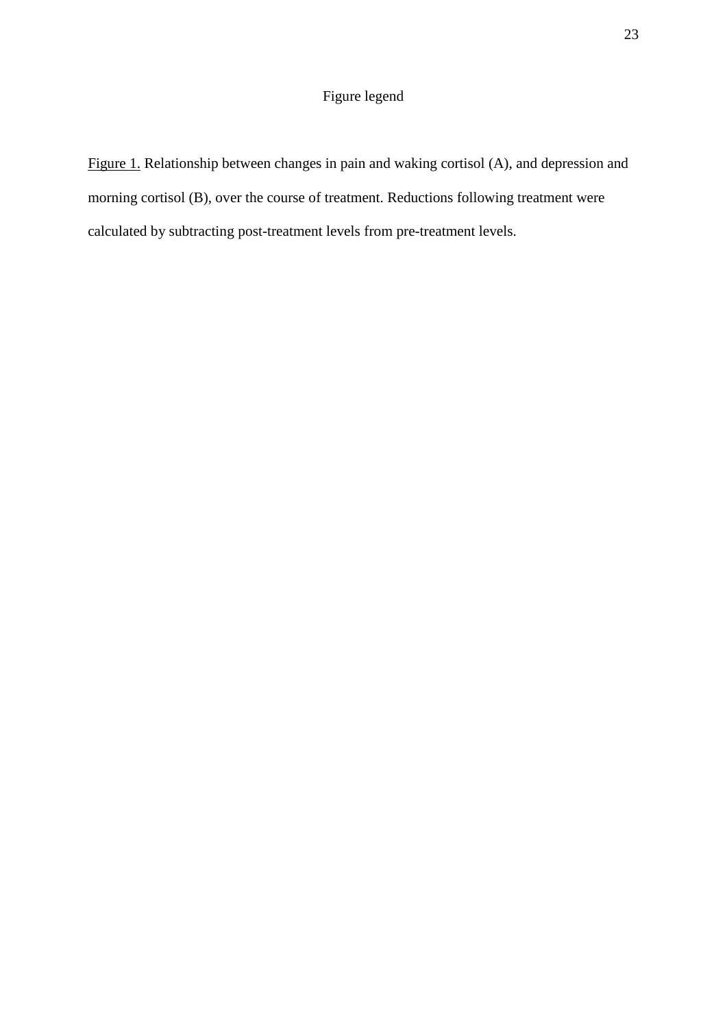# Figure legend

Figure 1. Relationship between changes in pain and waking cortisol (A), and depression and morning cortisol (B), over the course of treatment. Reductions following treatment were calculated by subtracting post-treatment levels from pre-treatment levels.